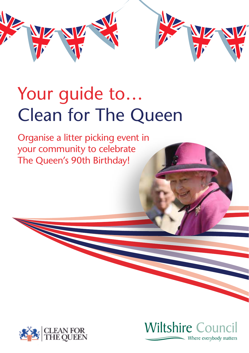

# Your guide to… Clean for The Queen

Organise a litter picking event in your community to celebrate The Queen's 90th Birthday!



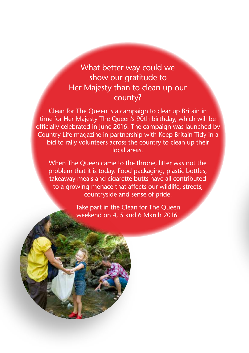# What better way could we show our gratitude to Her Majesty than to clean up our county?

Clean for The Queen is a campaign to clear up Britain in time for Her Majesty The Queen's 90th birthday, which will be officially celebrated in June 2016. The campaign was launched by Country Life magazine in partnership with Keep Britain Tidy in a bid to rally volunteers across the country to clean up their local areas.

When The Queen came to the throne, litter was not the problem that it is today. Food packaging, plastic bottles, takeaway meals and cigarette butts have all contributed to a growing menace that affects our wildlife, streets, countryside and sense of pride.

> Take part in the Clean for The Queen weekend on 4, 5 and 6 March 2016.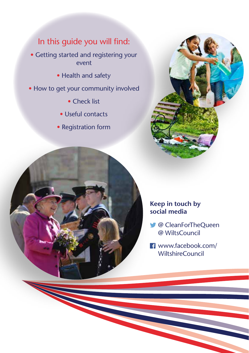# In this guide you will find:

• Getting started and registering your event

- Health and safety
- How to get your community involved
	- Check list
	- Useful contacts
	- Registration form





#### **Keep in touch by social media**

- @ CleanForTheQueen @ WiltsCouncil
- www.facebook.com/ WiltshireCouncil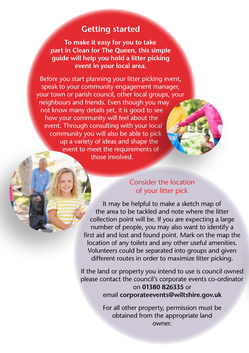## **Getting started**

**To make it easy for you to take part in Clean for The Queen, this simple guide will help you hold a litter picking event in your local area.**

Before you start planning your litter picking event, speak to your community engagement manager, your town or parish council, other local groups, your neighbours and friends. Even though you may not know many details yet, it is good to see how your community will feel about the event. Through consulting with your local community you will also be able to pick up a variety of ideas and shape the event to meet the requirements of those involved.

## Consider the location of your litter pick

It may be helpful to make a sketch map of the area to be tackled and note where the litter collection point will be. If you are expecting a large number of people, you may also want to identify a first aid and lost and found point. Mark on the map the location of any toilets and any other useful amenities. Volunteers could be separated into groups and given different routes in order to maximize litter picking.

If the land or property you intend to use is council owned please contact the council's corporate events co-ordinator on **01380 826335** or email **corporateevents@wiltshire.gov.uk**

> For all other property, permission must be obtained from the appropriate land owner.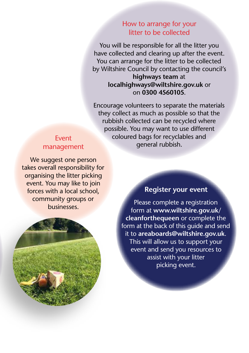### How to arrange for your litter to be collected

You will be responsible for all the litter you have collected and clearing up after the event. You can arrange for the litter to be collected by Wiltshire Council by contacting the council's **highways team** at **localhighways@wiltshire.gov.uk** or

# on **0300 4560105**.

Encourage volunteers to separate the materials they collect as much as possible so that the rubbish collected can be recycled where possible. You may want to use different coloured bags for recyclables and general rubbish.

#### Event management

We suggest one person takes overall responsibility for organising the litter picking event. You may like to join forces with a local school, community groups or businesses.



### **Register your event**

Please complete a registration form at **www.wiltshire.gov.uk/ cleanforthequeen** or complete the form at the back of this guide and send it to **areaboards@wiltshire.gov.uk**. This will allow us to support your event and send you resources to assist with your litter picking event.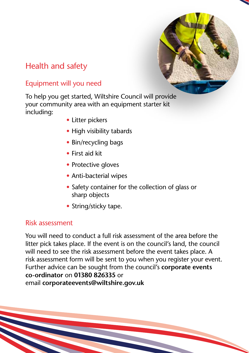

# Health and safety

## Equipment will you need

To help you get started, Wiltshire Council will provide your community area with an equipment starter kit including:

- Litter pickers
- High visibility tabards
- Bin/recycling bags
- First aid kit
- Protective aloves
- Anti-bacterial wipes
- Safety container for the collection of glass or sharp objects
- String/sticky tape.

## Risk assessment

You will need to conduct a full risk assessment of the area before the litter pick takes place. If the event is on the council's land, the council will need to see the risk assessment before the event takes place. A risk assessment form will be sent to you when you register your event. Further advice can be sought from the council's **corporate events co-ordinator** on **01380 826335** or email **corporateevents@wiltshire.gov.uk**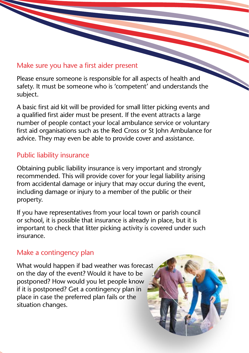## Make sure you have a first aider present

Please ensure someone is responsible for all aspects of health and safety. It must be someone who is 'competent' and understands the subject.

A basic first aid kit will be provided for small litter picking events and a qualified first aider must be present. If the event attracts a large number of people contact your local ambulance service or voluntary first aid organisations such as the Red Cross or St John Ambulance for advice. They may even be able to provide cover and assistance.

## Public liability insurance

Obtaining public liability insurance is very important and strongly recommended. This will provide cover for your legal liability arising from accidental damage or injury that may occur during the event, including damage or injury to a member of the public or their property.

If you have representatives from your local town or parish council or school, it is possible that insurance is already in place, but it is important to check that litter picking activity is covered under such insurance.

## Make a contingency plan

What would happen if bad weather was forecast on the day of the event? Would it have to be postponed? How would you let people know if it is postponed? Get a contingency plan in place in case the preferred plan fails or the situation changes.

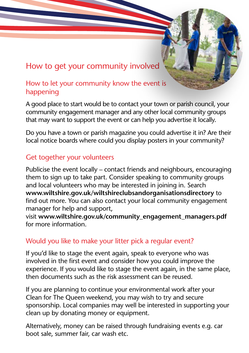# How to get your community involved

## How to let your community know the event is happening

A good place to start would be to contact your town or parish council, your community engagement manager and any other local community groups that may want to support the event or can help you advertise it locally.

Do you have a town or parish magazine you could advertise it in? Are their local notice boards where could you display posters in your community?

### Get together your volunteers

Publicise the event locally – contact friends and neighbours, encouraging them to sign up to take part. Consider speaking to community groups and local volunteers who may be interested in joining in. Search **www.wiltshire.gov.uk/wiltshireclubsandorganisationsdirectory** to find out more. You can also contact your local community engagement manager for help and support,

visit **www.wiltshire.gov.uk/community\_engagement\_managers.pdf**  for more information.

## Would you like to make your litter pick a regular event?

If you'd like to stage the event again, speak to everyone who was involved in the first event and consider how you could improve the experience. If you would like to stage the event again, in the same place, then documents such as the risk assessment can be reused.

If you are planning to continue your environmental work after your Clean for The Queen weekend, you may wish to try and secure sponsorship. Local companies may well be interested in supporting your clean up by donating money or equipment.

Alternatively, money can be raised through fundraising events e.g. car boot sale, summer fair, car wash etc.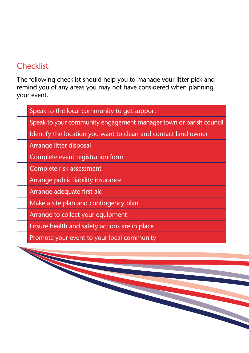# **Checklist**

The following checklist should help you to manage your litter pick and remind you of any areas you may not have considered when planning your event.

| Speak to the local community to get support                       |
|-------------------------------------------------------------------|
| Speak to your community engagement manager town or parish council |
| Identify the location you want to clean and contact land owner    |
| Arrange litter disposal                                           |
| Complete event registration form                                  |
| Complete risk assessment                                          |
| Arrange public liability insurance                                |
| Arrange adequate first aid                                        |
| Make a site plan and contingency plan                             |
| Arrange to collect your equipment                                 |
| Ensure health and safety actions are in place                     |
| Promote your event to your local community                        |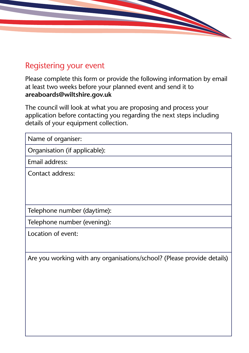# Registering your event

Please complete this form or provide the following information by email at least two weeks before your planned event and send it to **areaboards@wiltshire.gov.uk**

The council will look at what you are proposing and process your application before contacting you regarding the next steps including details of your equipment collection.

Name of organiser:

Organisation (if applicable):

Email address:

Contact address:

Telephone number (daytime):

Telephone number (evening):

Location of event:

Are you working with any organisations/school? (Please provide details)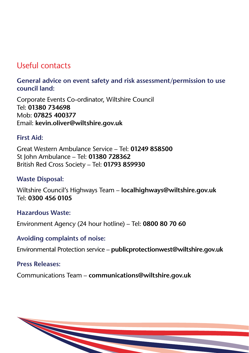# Useful contacts

**General advice on event safety and risk assessment/permission to use council land:**

Corporate Events Co-ordinator, Wiltshire Council Tel: **01380 734698** Mob: **07825 400377** Email: **kevin.oliver@wiltshire.gov.uk**

#### **First Aid:**

Great Western Ambulance Service – Tel: **01249 858500** St John Ambulance – Tel: **01380 728362** British Red Cross Society – Tel: **01793 859930**

#### **Waste Disposal:**

Wiltshire Council's Highways Team – **localhighways@wiltshire.gov.uk**  Tel: **0300 456 0105**

#### **Hazardous Waste:**

Environment Agency (24 hour hotline) – Tel: **0800 80 70 60**

#### **Avoiding complaints of noise:**

Environmental Protection service – **publicprotectionwest@wiltshire.gov.uk**

#### **Press Releases:**

Communications Team – **communications@wiltshire.gov.uk**